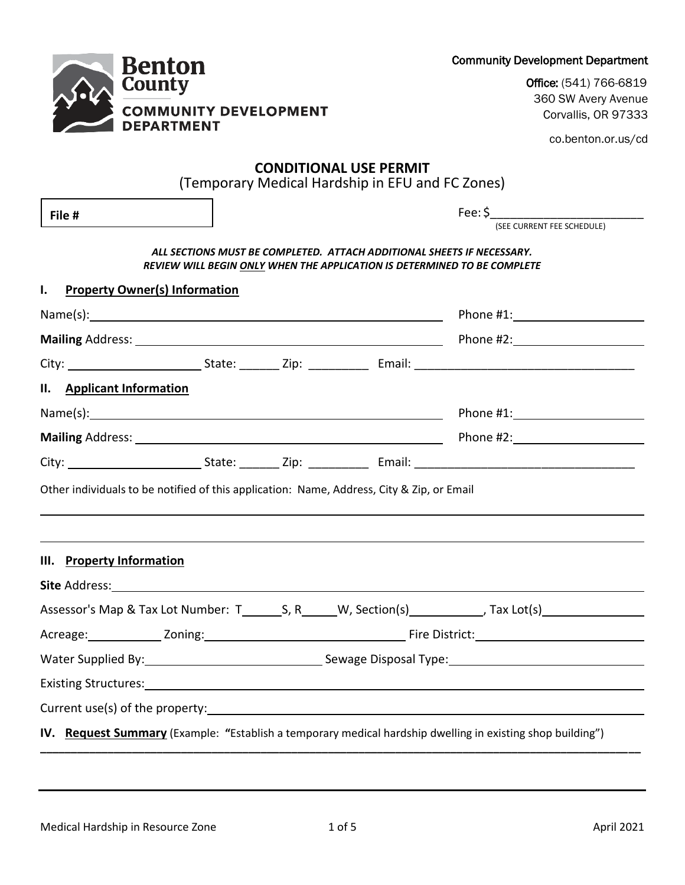|  | LABURG SURFACEUTS.                                                                                                |  |
|--|-------------------------------------------------------------------------------------------------------------------|--|
|  |                                                                                                                   |  |
|  | <b>IV.</b> Request Summary (Example: "Establish a temporary medical hardship dwelling in existing shop building") |  |
|  |                                                                                                                   |  |
|  |                                                                                                                   |  |

co.benton.or.us/cd **CONDITIONAL USE PERMIT** (Temporary Medical Hardship in EFU and FC Zones) Fee: \$\_\_\_\_\_\_\_\_\_\_\_\_\_\_\_\_\_\_\_\_\_\_\_ (SEE CURRENT FEE SCHEDULE) *ALL SECTIONS MUST BE COMPLETED. ATTACH ADDITIONAL SHEETS IF NECESSARY. REVIEW WILL BEGIN ONLY WHEN THE APPLICATION IS DETERMINED TO BE COMPLETE* **I. Property Owner(s) Information** Name(s): Phone #1: **Mailing** Address: Phone #2: City: City: City: State: Zip: Email: City: Email: City: Email: City: City: City: City: City: City: City: City: City: City: City: City: City: City: City: City: City: City: City: City: City: City: City: City: City: City: Cit **II. Applicant Information** Name(s): Name(s): Phone #1: Phone #1: Phone #1: Phone #1: Phone #1: Phone #1: Phone #1: Phone #1: Phone #1: Phone #1: Phone #1: Phone #1: Phone #1: Phone #1: Phone #1: Phone #1: Phone #1: Phone #1: Phone #1: Phone #1: Phon **Mailing** Address: **Phone #2:** Phone #2: City: State: \_\_\_\_\_\_ Zip: \_\_\_\_\_\_\_\_\_ Email: \_\_\_\_\_\_\_\_\_\_\_\_\_\_\_\_\_\_\_\_\_\_\_\_\_\_\_\_\_\_\_\_\_ Other individuals to be notified of this application: Name, Address, City & Zip, or Email **III. Property Information Site** Address: Assessor's Map & Tax Lot Number:  $T = S, R = W$ , Section(s)  $\overline{\phantom{0}}$  Tax Lot(s)  $\overline{\phantom{0}}$ Acreage: Zoning: Fire District: Water Supplied By: Sewage Disposal Type: Existing Structures: Curre **File #** 

**Benton** Countv **COMMUNITY DEVELOPMENT DEPARTMENT** 

Community Development Department

Office: (541) 766-6819 360 SW Avery Avenue Corvallis, OR 97333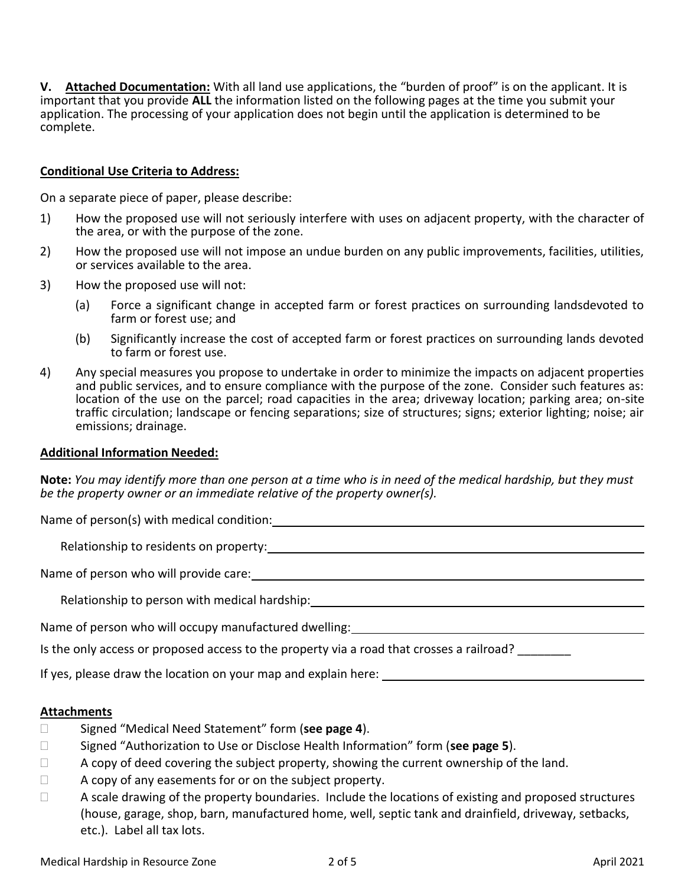**V. Attached Documentation:** With all land use applications, the "burden of proof" is on the applicant. It is important that you provide **ALL** the information listed on the following pages at the time you submit your application. The processing of your application does not begin until the application is determined to be complete.

# **Conditional Use Criteria to Address:**

On a separate piece of paper, please describe:

- 1) How the proposed use will not seriously interfere with uses on adjacent property, with the character of the area, or with the purpose of the zone.
- 2) How the proposed use will not impose an undue burden on any public improvements, facilities, utilities, or services available to the area.
- 3) How the proposed use will not:
	- (a) Force a significant change in accepted farm or forest practices on surrounding landsdevoted to farm or forest use; and
	- (b) Significantly increase the cost of accepted farm or forest practices on surrounding lands devoted to farm or forest use.
- 4) Any special measures you propose to undertake in order to minimize the impacts on adjacent properties and public services, and to ensure compliance with the purpose of the zone. Consider such features as: location of the use on the parcel; road capacities in the area; driveway location; parking area; on-site traffic circulation; landscape or fencing separations; size of structures; signs; exterior lighting; noise; air emissions; drainage.

### **Additional Information Needed:**

**Note:** *You may identify more than one person at a time who is in need of the medical hardship, but they must be the property owner or an immediate relative of the property owner(s).*

Name of person(s) with medical condition:

Relationship to residents on property:

Name of person who will provide care:

Relationship to person with medical hardship:

Name of person who will occupy manufactured dwelling:

Is the only access or proposed access to the property via a road that crosses a railroad?

If yes, please draw the location on your map and explain here:

# **Attachments**

- Signed "Medical Need Statement" form (**see page 4**).
- Signed "Authorization to Use or Disclose Health Information" form (**see page 5**).
- $\Box$  A copy of deed covering the subject property, showing the current ownership of the land.
- $\Box$  A copy of any easements for or on the subject property.
- $\Box$  A scale drawing of the property boundaries. Include the locations of existing and proposed structures (house, garage, shop, barn, manufactured home, well, septic tank and drainfield, driveway, setbacks, etc.). Label all tax lots.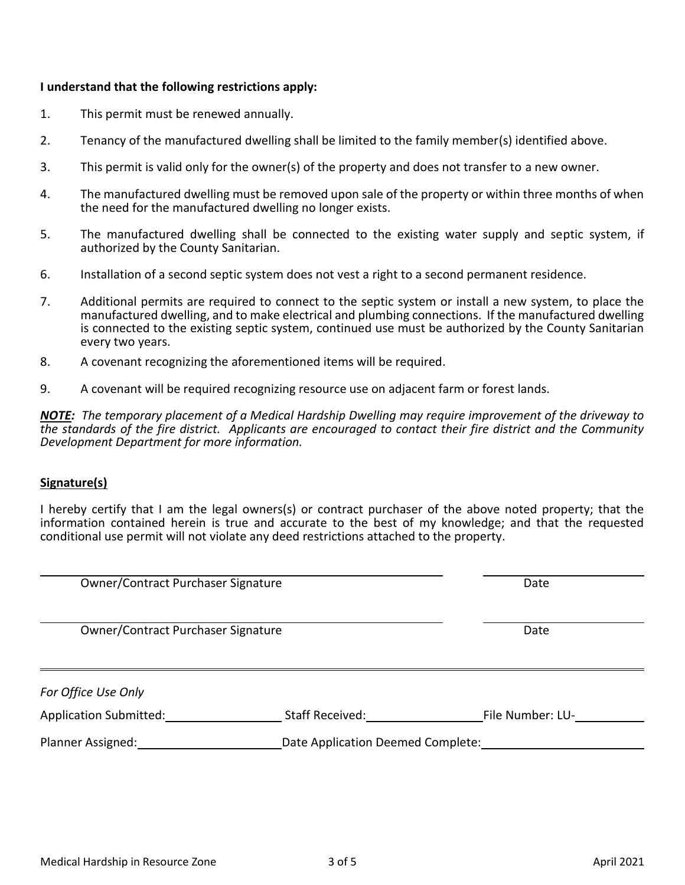## **I understand that the following restrictions apply:**

- 1. This permit must be renewed annually.
- 2. Tenancy of the manufactured dwelling shall be limited to the family member(s) identified above.
- 3. This permit is valid only for the owner(s) of the property and does not transfer to a new owner.
- 4. The manufactured dwelling must be removed upon sale of the property or within three months of when the need for the manufactured dwelling no longer exists.
- 5. The manufactured dwelling shall be connected to the existing water supply and septic system, if authorized by the County Sanitarian.
- 6. Installation of a second septic system does not vest a right to a second permanent residence.
- 7. Additional permits are required to connect to the septic system or install a new system, to place the manufactured dwelling, and to make electrical and plumbing connections. If the manufactured dwelling is connected to the existing septic system, continued use must be authorized by the County Sanitarian every two years.
- 8. A covenant recognizing the aforementioned items will be required.
- 9. A covenant will be required recognizing resource use on adjacent farm or forest lands.

*NOTE: The temporary placement of a Medical Hardship Dwelling may require improvement of the driveway to the standards of the fire district. Applicants are encouraged to contact their fire district and the Community Development Department for more information.*

### **Signature(s)**

I hereby certify that I am the legal owners(s) or contract purchaser of the above noted property; that the information contained herein is true and accurate to the best of my knowledge; and that the requested conditional use permit will not violate any deed restrictions attached to the property.

| Owner/Contract Purchaser Signature            |                                   | Date             |
|-----------------------------------------------|-----------------------------------|------------------|
| Owner/Contract Purchaser Signature            |                                   | Date             |
| For Office Use Only<br>Application Submitted: | Staff Received:                   | File Number: LU- |
| Planner Assigned:                             | Date Application Deemed Complete: |                  |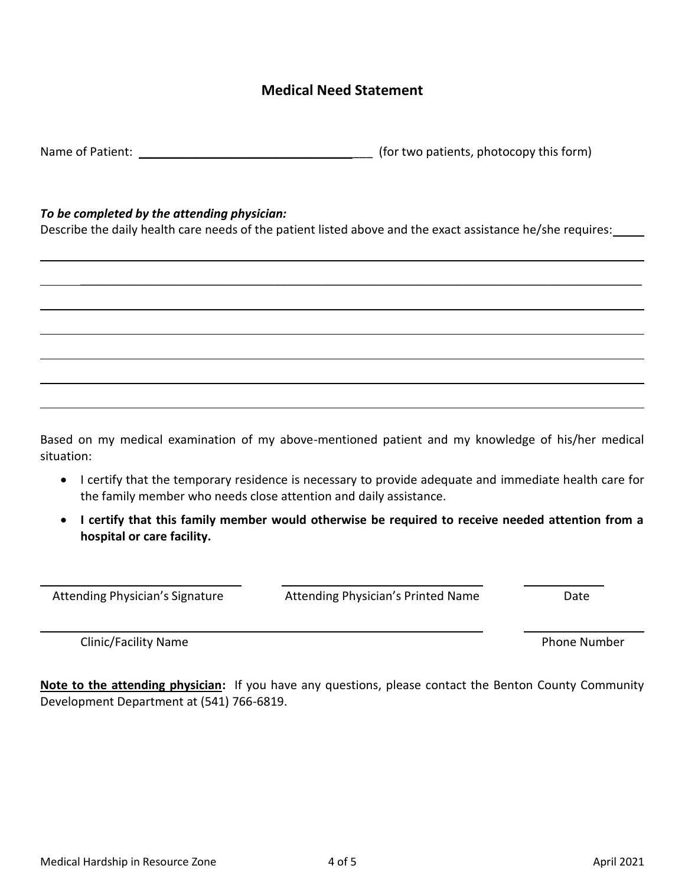# **Medical Need Statement**

Name of Patient: Name of Patient:  $\blacksquare$ 

# *To be completed by the attending physician:*

Describe the daily health care needs of the patient listed above and the exact assistance he/she requires:

\_\_\_\_\_\_\_\_\_\_\_\_\_\_\_\_\_\_\_\_\_\_\_\_\_\_\_\_\_\_\_\_\_\_\_\_\_\_\_\_\_\_\_\_\_\_\_\_\_\_\_\_\_\_\_\_\_\_\_\_\_\_\_\_\_\_\_\_\_\_\_\_\_\_\_\_\_\_\_\_\_\_\_\_

Based on my medical examination of my above-mentioned patient and my knowledge of his/her medical situation:

- I certify that the temporary residence is necessary to provide adequate and immediate health care for the family member who needs close attention and daily assistance.
- **I certify that this family member would otherwise be required to receive needed attention from a hospital or care facility.**

Clinic/Facility Name **Phone Number** Phone Number

**Note to the attending physician:** If you have any questions, please contact the Benton County Community Development Department at (541) 766-6819.

Attending Physician's Signature **Attending Physician's Printed Name** Date

l